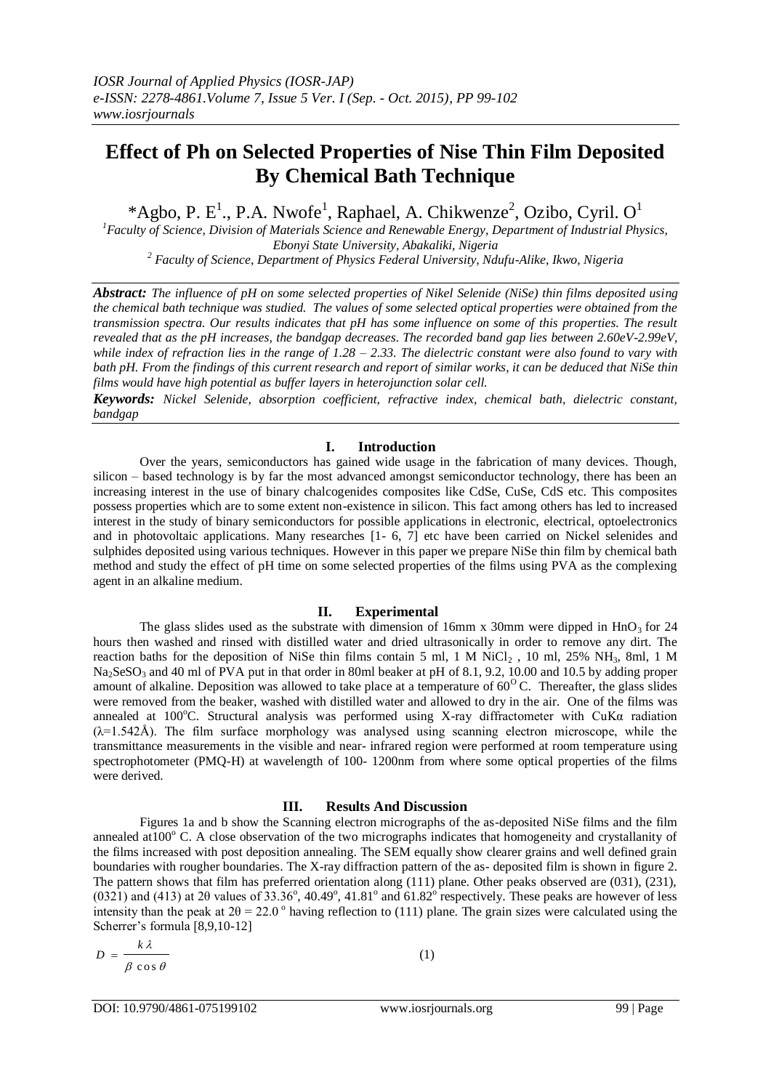# **Effect of Ph on Selected Properties of Nise Thin Film Deposited By Chemical Bath Technique**

\*Agbo, P. E<sup>1</sup>., P.A. Nwofe<sup>1</sup>, Raphael, A. Chikwenze<sup>2</sup>, Ozibo, Cyril. O<sup>1</sup>

*<sup>1</sup>Faculty of Science, Division of Materials Science and Renewable Energy, Department of Industrial Physics, Ebonyi State University, Abakaliki, Nigeria <sup>2</sup> Faculty of Science, Department of Physics Federal University, Ndufu-Alike, Ikwo, Nigeria*

*Abstract: The influence of pH on some selected properties of Nikel Selenide (NiSe) thin films deposited using the chemical bath technique was studied. The values of some selected optical properties were obtained from the transmission spectra. Our results indicates that pH has some influence on some of this properties. The result revealed that as the pH increases, the bandgap decreases. The recorded band gap lies between 2.60eV-2.99eV, while index of refraction lies in the range of 1.28 – 2.33. The dielectric constant were also found to vary with bath pH. From the findings of this current research and report of similar works, it can be deduced that NiSe thin films would have high potential as buffer layers in heterojunction solar cell.*

*Keywords: Nickel Selenide, absorption coefficient, refractive index, chemical bath, dielectric constant, bandgap*

## **I. Introduction**

Over the years, semiconductors has gained wide usage in the fabrication of many devices. Though, silicon – based technology is by far the most advanced amongst semiconductor technology, there has been an increasing interest in the use of binary chalcogenides composites like CdSe, CuSe, CdS etc. This composites possess properties which are to some extent non-existence in silicon. This fact among others has led to increased interest in the study of binary semiconductors for possible applications in electronic, electrical, optoelectronics and in photovoltaic applications. Many researches [1- 6, 7] etc have been carried on Nickel selenides and sulphides deposited using various techniques. However in this paper we prepare NiSe thin film by chemical bath method and study the effect of pH time on some selected properties of the films using PVA as the complexing agent in an alkaline medium.

# **II. Experimental**

The glass slides used as the substrate with dimension of 16mm x 30mm were dipped in  $\text{HnO}_3$  for 24 hours then washed and rinsed with distilled water and dried ultrasonically in order to remove any dirt. The reaction baths for the deposition of NiSe thin films contain 5 ml, 1 M NiCl<sub>2</sub>, 10 ml, 25% NH<sub>3</sub>, 8ml, 1 M Na<sub>2</sub>SeSO<sub>3</sub> and 40 ml of PVA put in that order in 80ml beaker at pH of 8.1, 9.2, 10.00 and 10.5 by adding proper amount of alkaline. Deposition was allowed to take place at a temperature of  $60^{\circ}$ C. Thereafter, the glass slides were removed from the beaker, washed with distilled water and allowed to dry in the air. One of the films was annealed at  $100^{\circ}$ C. Structural analysis was performed using X-ray diffractometer with CuK $\alpha$  radiation  $(\lambda=1.542\text{\AA})$ . The film surface morphology was analysed using scanning electron microscope, while the transmittance measurements in the visible and near- infrared region were performed at room temperature using spectrophotometer (PMQ-H) at wavelength of 100- 1200nm from where some optical properties of the films were derived.

### **III. Results And Discussion**

Figures 1a and b show the Scanning electron micrographs of the as-deposited NiSe films and the film annealed at  $100^{\circ}$  C. A close observation of the two micrographs indicates that homogeneity and crystallanity of the films increased with post deposition annealing. The SEM equally show clearer grains and well defined grain boundaries with rougher boundaries. The X-ray diffraction pattern of the as- deposited film is shown in figure 2. The pattern shows that film has preferred orientation along (111) plane. Other peaks observed are (031), (231), (0321) and (413) at 2 $\theta$  values of 33.36°, 40.49°, 41.81° and 61.82° respectively. These peaks are however of less intensity than the peak at  $2\theta = 22.0^{\circ}$  having reflection to (111) plane. The grain sizes were calculated using the Scherrer's formula [8,9,10-12]

$$
D = \frac{k\lambda}{\beta \cos \theta}
$$

(1)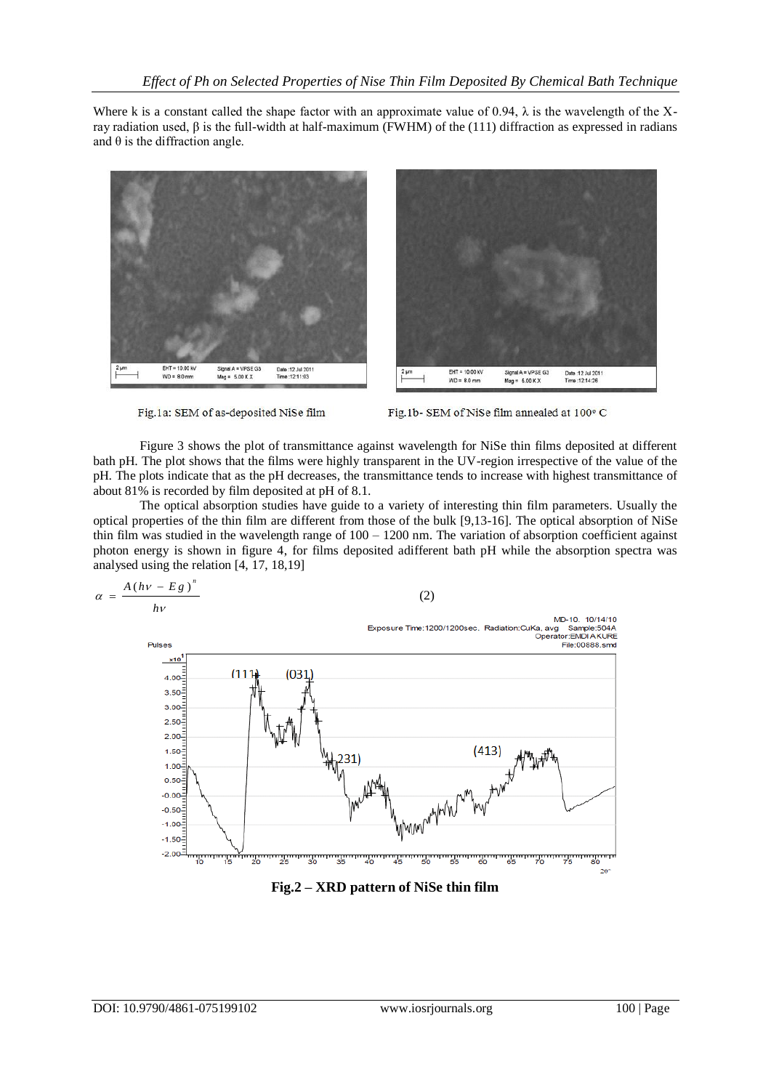Where k is a constant called the shape factor with an approximate value of 0.94,  $\lambda$  is the wavelength of the Xray radiation used, β is the full-width at half-maximum (FWHM) of the (111) diffraction as expressed in radians and  $\theta$  is the diffraction angle.



Fig.1a: SEM of as-deposited NiSe film



Fig.1b- SEM of NiSe film annealed at 100° C

Figure 3 shows the plot of transmittance against wavelength for NiSe thin films deposited at different bath pH. The plot shows that the films were highly transparent in the UV-region irrespective of the value of the pH. The plots indicate that as the pH decreases, the transmittance tends to increase with highest transmittance of about 81% is recorded by film deposited at pH of 8.1.

The optical absorption studies have guide to a variety of interesting thin film parameters. Usually the optical properties of the thin film are different from those of the bulk [9,13-16]. The optical absorption of NiSe thin film was studied in the wavelength range of 100 – 1200 nm. The variation of absorption coefficient against photon energy is shown in figure 4, for films deposited adifferent bath pH while the absorption spectra was analysed using the relation [4, 17, 18,19]



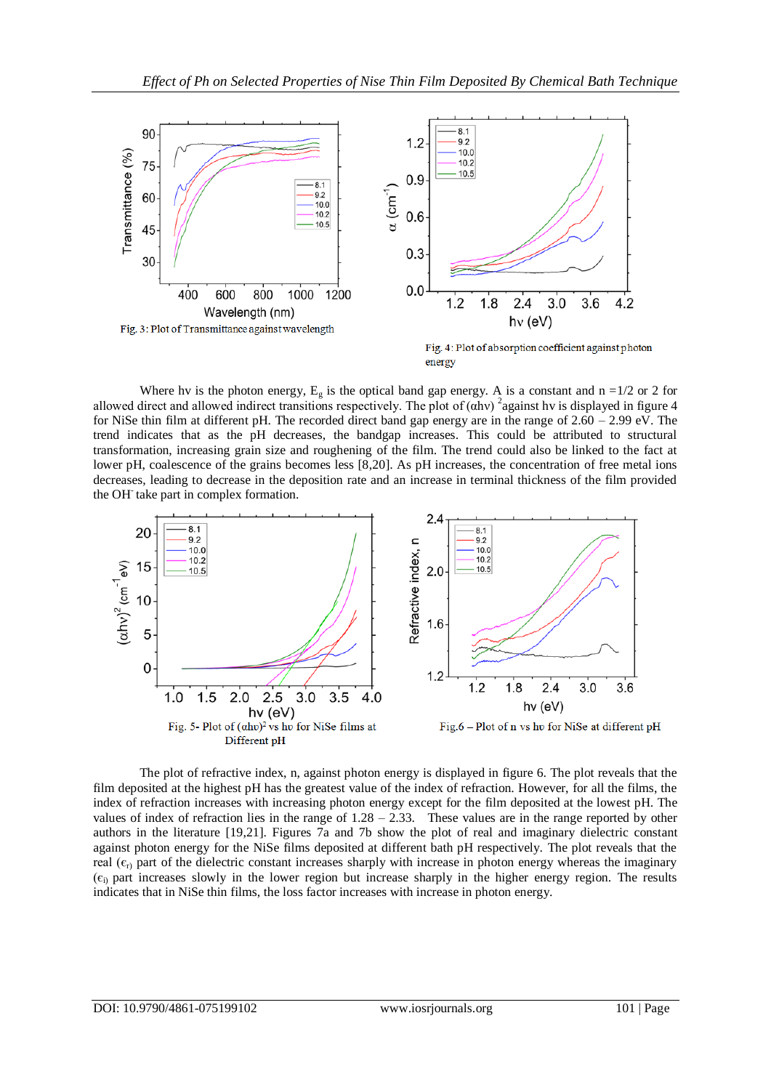

Where hv is the photon energy,  $E_g$  is the optical band gap energy. A is a constant and n =1/2 or 2 for allowed direct and allowed indirect transitions respectively. The plot of  $(\alpha hv)^2$  against hv is displayed in figure 4 for NiSe thin film at different pH. The recorded direct band gap energy are in the range of  $2.60 - 2.99$  eV. The trend indicates that as the pH decreases, the bandgap increases. This could be attributed to structural transformation, increasing grain size and roughening of the film. The trend could also be linked to the fact at lower pH, coalescence of the grains becomes less [8,20]. As pH increases, the concentration of free metal ions decreases, leading to decrease in the deposition rate and an increase in terminal thickness of the film provided the OH<sup>-</sup> take part in complex formation.



The plot of refractive index, n, against photon energy is displayed in figure 6. The plot reveals that the film deposited at the highest pH has the greatest value of the index of refraction. However, for all the films, the index of refraction increases with increasing photon energy except for the film deposited at the lowest pH. The values of index of refraction lies in the range of  $1.28 - 2.33$ . These values are in the range reported by other authors in the literature [19,21]. Figures 7a and 7b show the plot of real and imaginary dielectric constant against photon energy for the NiSe films deposited at different bath pH respectively. The plot reveals that the real  $(\epsilon_{r})$  part of the dielectric constant increases sharply with increase in photon energy whereas the imaginary  $(\epsilon_i)$  part increases slowly in the lower region but increase sharply in the higher energy region. The results indicates that in NiSe thin films, the loss factor increases with increase in photon energy.